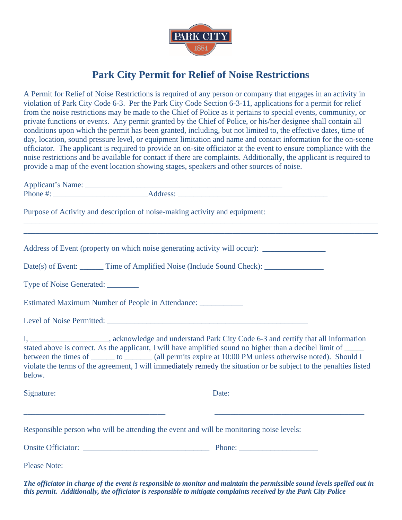

## **Park City Permit for Relief of Noise Restrictions**

A Permit for Relief of Noise Restrictions is required of any person or company that engages in an activity in violation of Park City Code 6-3. Per the Park City Code Section 6-3-11, applications for a permit for relief from the noise restrictions may be made to the Chief of Police as it pertains to special events, community, or private functions or events. Any permit granted by the Chief of Police, or his/her designee shall contain all conditions upon which the permit has been granted, including, but not limited to, the effective dates, time of day, location, sound pressure level, or equipment limitation and name and contact information for the on-scene officiator. The applicant is required to provide an on-site officiator at the event to ensure compliance with the noise restrictions and be available for contact if there are complaints. Additionally, the applicant is required to provide a map of the event location showing stages, speakers and other sources of noise.

| Purpose of Activity and description of noise-making activity and equipment:             |                                                                                                                                                                                                                                                                                                                                                                                                                                                               |
|-----------------------------------------------------------------------------------------|---------------------------------------------------------------------------------------------------------------------------------------------------------------------------------------------------------------------------------------------------------------------------------------------------------------------------------------------------------------------------------------------------------------------------------------------------------------|
|                                                                                         |                                                                                                                                                                                                                                                                                                                                                                                                                                                               |
|                                                                                         | Address of Event (property on which noise generating activity will occur):                                                                                                                                                                                                                                                                                                                                                                                    |
|                                                                                         | Date(s) of Event: _______ Time of Amplified Noise (Include Sound Check): ______________                                                                                                                                                                                                                                                                                                                                                                       |
| Type of Noise Generated: ________                                                       |                                                                                                                                                                                                                                                                                                                                                                                                                                                               |
| Estimated Maximum Number of People in Attendance: _____________                         |                                                                                                                                                                                                                                                                                                                                                                                                                                                               |
|                                                                                         |                                                                                                                                                                                                                                                                                                                                                                                                                                                               |
| below.                                                                                  | I, ______________________, acknowledge and understand Park City Code 6-3 and certify that all information<br>stated above is correct. As the applicant, I will have amplified sound no higher than a decibel limit of _____<br>between the times of _______ to _______ (all permits expire at 10:00 PM unless otherwise noted). Should I<br>violate the terms of the agreement, I will immediately remedy the situation or be subject to the penalties listed |
| Signature:                                                                              | Date:                                                                                                                                                                                                                                                                                                                                                                                                                                                         |
| Responsible person who will be attending the event and will be monitoring noise levels: |                                                                                                                                                                                                                                                                                                                                                                                                                                                               |
|                                                                                         |                                                                                                                                                                                                                                                                                                                                                                                                                                                               |
| <b>Please Note:</b>                                                                     |                                                                                                                                                                                                                                                                                                                                                                                                                                                               |
|                                                                                         |                                                                                                                                                                                                                                                                                                                                                                                                                                                               |

*The officiator in charge of the event is responsible to monitor and maintain the permissible sound levels spelled out in this permit. Additionally, the officiator is responsible to mitigate complaints received by the Park City Police*